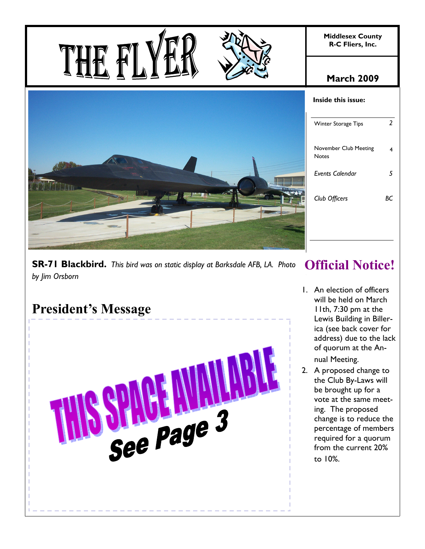

# **March 2009**

# **SR-71 Blackbird.** *This bird was on static display at Barksdale AFB, LA. Photo by Jim Orsborn*

# **President's Message**

THE F



#### **Inside this issue:**

| Winter Storage Tips            | 2 |
|--------------------------------|---|
| November Club Meeting<br>Notes |   |
| Events Calendar                | 5 |
| Club Officers                  |   |

# **Official Notice!**

- 1. An election of officers will be held on March 11th, 7:30 pm at the Lewis Building in Billerica (see back cover for address) due to the lack of quorum at the Annual Meeting.
- 2. A proposed change to the Club By-Laws will be brought up for a vote at the same meeting. The proposed change is to reduce the percentage of members required for a quorum from the current 20% to 10%.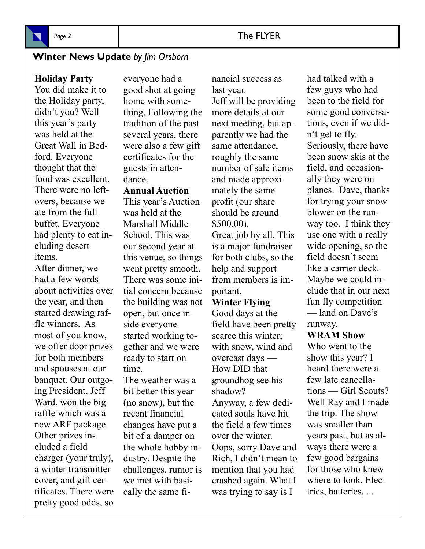

# **Winter News Update** *by Jim Orsborn*

**Holiday Party** 

You did make it to the Holiday party, didn't you? Well this year's party was held at the Great Wall in Bedford. Everyone thought that the food was excellent. There were no leftovers, because we ate from the full buffet. Everyone had plenty to eat including desert items.

After dinner, we had a few words about activities over the year, and then started drawing raffle winners. As most of you know, we offer door prizes for both members and spouses at our banquet. Our outgoing President, Jeff Ward, won the big raffle which was a new ARF package. Other prizes included a field charger (your truly), a winter transmitter cover, and gift certificates. There were pretty good odds, so

everyone had a good shot at going home with something. Following the tradition of the past several years, there were also a few gift certificates for the guests in attendance.

**Annual Auction** 

This year's Auction was held at the Marshall Middle School. This was our second year at this venue, so things went pretty smooth. There was some initial concern because the building was not open, but once inside everyone started working together and we were ready to start on time.

The weather was a bit better this year (no snow), but the recent financial changes have put a bit of a damper on the whole hobby industry. Despite the challenges, rumor is we met with basically the same financial success as last year. Jeff will be providing more details at our next meeting, but apparently we had the same attendance, roughly the same number of sale items and made approximately the same profit (our share should be around \$500.00). Great job by all. This is a major fundraiser for both clubs, so the help and support from members is important.

# **Winter Flying**

Good days at the field have been pretty scarce this winter; with snow, wind and overcast days — How DID that groundhog see his shadow? Anyway, a few dedicated souls have hit the field a few times over the winter. Oops, sorry Dave and Rich, I didn't mean to mention that you had crashed again. What I was trying to say is I

had talked with a few guys who had been to the field for some good conversations, even if we didn't get to fly. Seriously, there have been snow skis at the field, and occasionally they were on planes. Dave, thanks for trying your snow blower on the runway too. I think they use one with a really wide opening, so the field doesn't seem like a carrier deck. Maybe we could include that in our next fun fly competition — land on Dave's runway.

# **WRAM Show**

Who went to the show this year? I heard there were a few late cancellations — Girl Scouts? Well Ray and I made the trip. The show was smaller than years past, but as always there were a few good bargains for those who knew where to look. Electrics, batteries, ...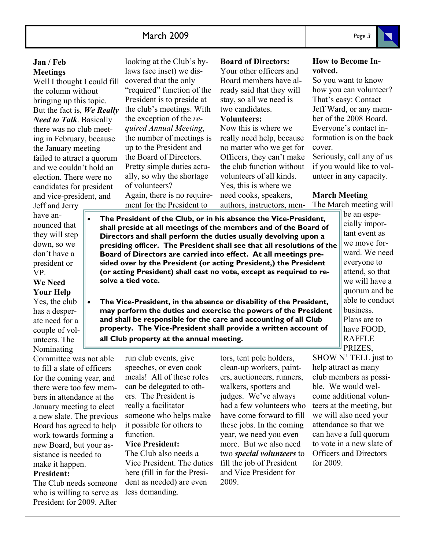# March 2009 *Page 3*

## **Jan / Feb Meetings**

Well I thought I could fill the column without bringing up this topic. But the fact is, *We Really Need to Talk*. Basically there was no club meeting in February, because the January meeting failed to attract a quorum and we couldn't hold an election. There were no candidates for president and vice-president, and

Jeff and Jerry have announced that they will step down, so we don't have a president or VP.

# **We Need Your Help**

Yes, the club has a desperate need for a couple of volunteers. The Nominating

Committee was not able to fill a slate of officers for the coming year, and there were too few members in attendance at the January meeting to elect a new slate. The previous Board has agreed to help work towards forming a new Board, but your assistance is needed to make it happen.

# **President:**

The Club needs someone who is willing to serve as President for 2009. After

looking at the Club's bylaws (see inset) we discovered that the only "required" function of the President is to preside at the club's meetings. With the exception of the *required Annual Meeting*, the number of meetings is up to the President and the Board of Directors. Pretty simple duties actually, so why the shortage of volunteers? Again, there is no requirement for the President to

# **Board of Directors:**  Your other officers and

Board members have already said that they will stay, so all we need is two candidates.

## **Volunteers:**

Now this is where we really need help, because no matter who we get for Officers, they can't make the club function without volunteers of all kinds. Yes, this is where we need cooks, speakers, authors, instructors, men-

## **How to Become Involved.**

So you want to know how you can volunteer? That's easy: Contact Jeff Ward, or any member of the 2008 Board. Everyone's contact information is on the back cover.

Seriously, call any of us if you would like to volunteer in any capacity.

# **March Meeting**

The March meeting will

- **The President of the Club, or in his absence the Vice-President, shall preside at all meetings of the members and of the Board of Directors and shall perform the duties usually devolving upon a presiding officer. The President shall see that all resolutions of the Board of Directors are carried into effect. At all meetings presided over by the President (or acting President,) the President (or acting President) shall cast no vote, except as required to resolve a tied vote.** 
	- **The Vice-President, in the absence or disability of the President, may perform the duties and exercise the powers of the President and shall be responsible for the care and accounting of all Club property. The Vice-President shall provide a written account of all Club property at the annual meeting.**

run club events, give speeches, or even cook meals! All of these roles can be delegated to others. The President is really a facilitator someone who helps make it possible for others to function. **Vice President:** 

The Club also needs a Vice President. The duties here (fill in for the President as needed) are even less demanding.

tors, tent pole holders, clean-up workers, painters, auctioneers, runners, walkers, spotters and judges. We've always had a few volunteers who have come forward to fill these jobs. In the coming year, we need you even more. But we also need two *special volunteers* to fill the job of President and Vice President for 2009.

be an especially important event as we move forward. We need everyone to attend, so that we will have a quorum and be able to conduct business. Plans are to have FOOD, RAFFLE PRIZES,

SHOW N' TELL just to help attract as many club members as possible. We would welcome additional volunteers at the meeting, but we will also need your attendance so that we can have a full quorum to vote in a new slate of Officers and Directors for 2009.